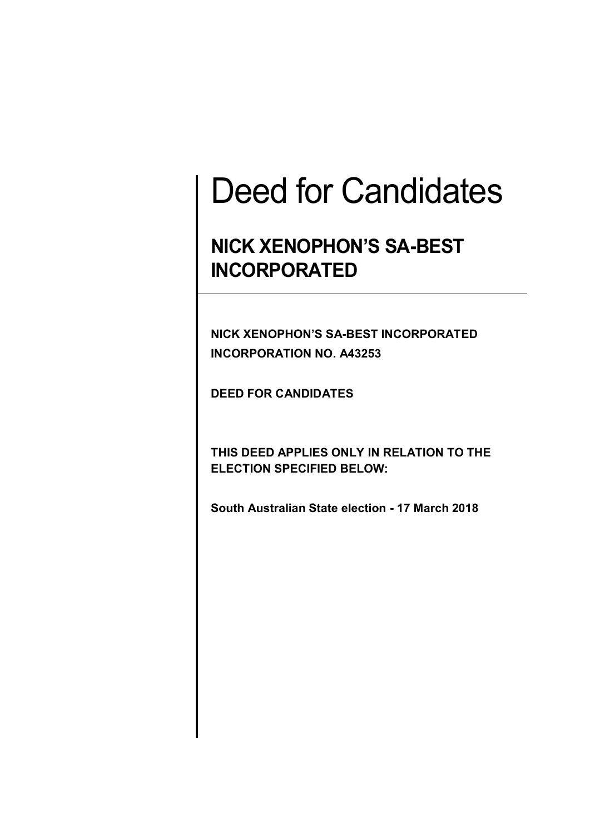# Deed for Candidates

# **NICK XENOPHON'S SA-BEST INCORPORATED**

**NICK XENOPHON'S SA-BEST INCORPORATED INCORPORATION NO. A43253**

**DEED FOR CANDIDATES**

**THIS DEED APPLIES ONLY IN RELATION TO THE ELECTION SPECIFIED BELOW:**

**South Australian State election - 17 March 2018**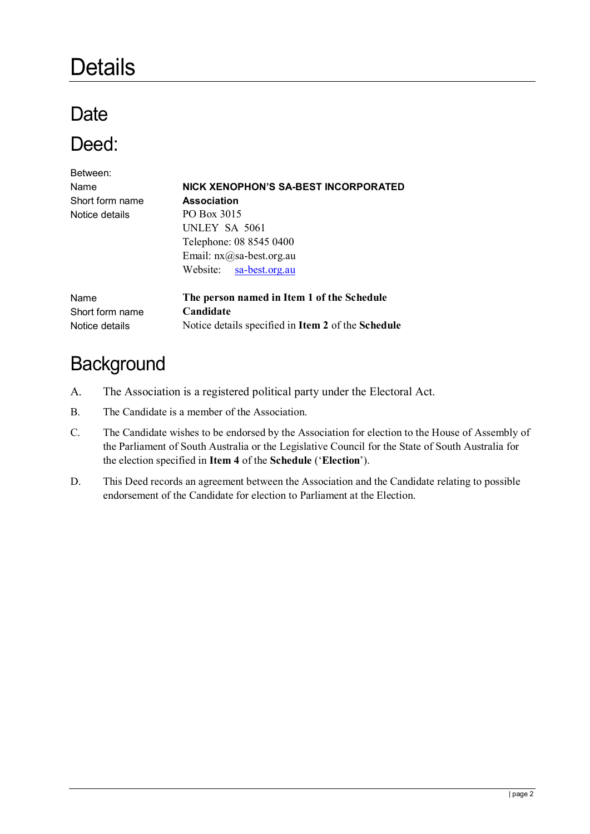# **Details**

# **Date**

### Deed:

| Between:        |                                                                  |
|-----------------|------------------------------------------------------------------|
| Name            | NICK XENOPHON'S SA-BEST INCORPORATED                             |
| Short form name | <b>Association</b>                                               |
| Notice details  | PO Box 3015                                                      |
|                 | UNLEY SA 5061                                                    |
|                 | Telephone: 08 8545 0400                                          |
|                 | Email: $nx@sa-best.org.au$                                       |
|                 | Website: sa-best.org.au                                          |
| Name            | The person named in Item 1 of the Schedule                       |
| Short form name | Candidate                                                        |
| Notice details  | Notice details specified in <b>Item 2</b> of the <b>Schedule</b> |

### **Background**

- A. The Association is a registered political party under the Electoral Act.
- B. The Candidate is a member of the Association.
- C. The Candidate wishes to be endorsed by the Association for election to the House of Assembly of the Parliament of South Australia or the Legislative Council for the State of South Australia for the election specified in **Item 4** of the **Schedule** ('**Election**').
- D. This Deed records an agreement between the Association and the Candidate relating to possible endorsement of the Candidate for election to Parliament at the Election.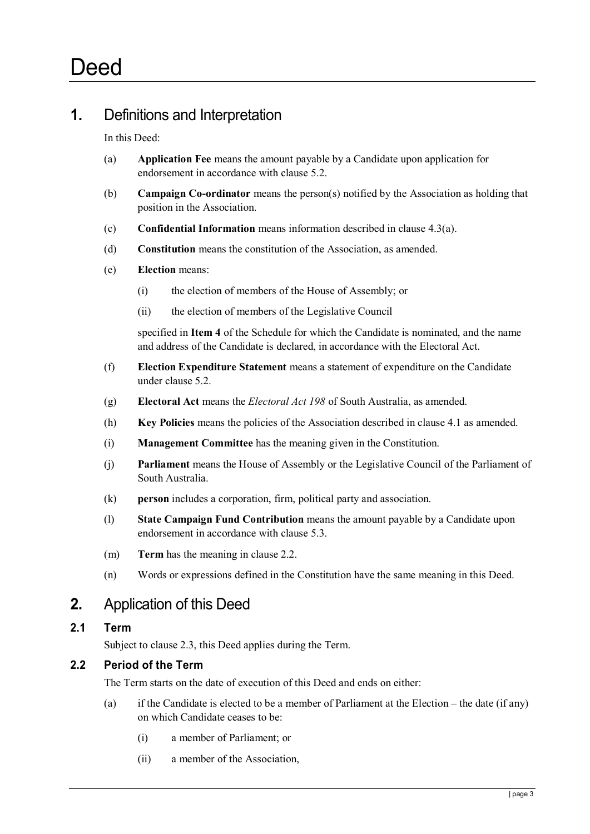#### **1.** Definitions and Interpretation

In this Deed:

- (a) **Application Fee** means the amount payable by a Candidate upon application for endorsement in accordance with clause [5.2.](#page-4-0)
- (b) **Campaign Co-ordinator** means the person(s) notified by the Association as holding that position in the Association.
- (c) **Confidential Information** means information described in clause 4.3(a).
- (d) **Constitution** means the constitution of the Association, as amended.
- (e) **Election** means:
	- (i) the election of members of the House of Assembly; or
	- (ii) the election of members of the Legislative Council

specified in **Item 4** of the Schedule for which the Candidate is nominated, and the name and address of the Candidate is declared, in accordance with the Electoral Act.

- (f) **Election Expenditure Statement** means a statement of expenditure on the Candidate under clause 5.2.
- (g) **Electoral Act** means the *Electoral Act 198* of South Australia, as amended.
- (h) **Key Policies** means the policies of the Association described in clause 4.1 as amended.
- (i) **Management Committee** has the meaning given in the Constitution.
- (j) **Parliament** means the House of Assembly or the Legislative Council of the Parliament of South Australia.
- (k) **person** includes a corporation, firm, political party and association.
- (l) **State Campaign Fund Contribution** means the amount payable by a Candidate upon endorsement in accordance with clause [5.3.](#page-4-1)
- (m) **Term** has the meaning in clause 2.2.
- (n) Words or expressions defined in the Constitution have the same meaning in this Deed.

#### **2.** Application of this Deed

#### **2.1 Term**

Subject to clause 2.3, this Deed applies during the Term.

#### **2.2 Period of the Term**

The Term starts on the date of execution of this Deed and ends on either:

- (a) if the Candidate is elected to be a member of Parliament at the Election the date (if any) on which Candidate ceases to be:
	- (i) a member of Parliament; or
	- (ii) a member of the Association,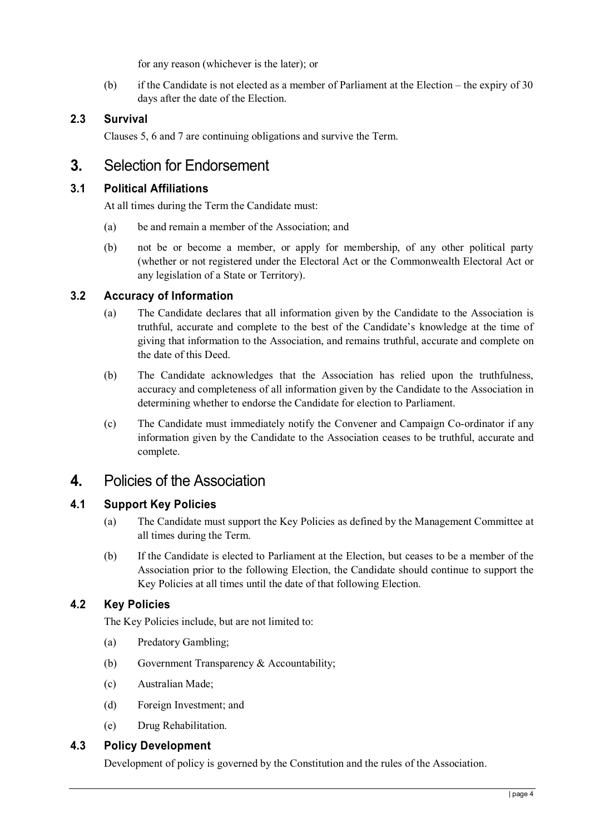for any reason (whichever is the later); or

(b) if the Candidate is not elected as a member of Parliament at the Election – the expiry of 30 days after the date of the Election.

#### **2.3 Survival**

Clauses 5, 6 and 7 are continuing obligations and survive the Term.

#### **3.** Selection for Endorsement

#### **3.1 Political Affiliations**

At all times during the Term the Candidate must:

- (a) be and remain a member of the Association; and
- (b) not be or become a member, or apply for membership, of any other political party (whether or not registered under the Electoral Act or the Commonwealth Electoral Act or any legislation of a State or Territory).

#### **3.2 Accuracy of Information**

- (a) The Candidate declares that all information given by the Candidate to the Association is truthful, accurate and complete to the best of the Candidate's knowledge at the time of giving that information to the Association, and remains truthful, accurate and complete on the date of this Deed.
- (b) The Candidate acknowledges that the Association has relied upon the truthfulness, accuracy and completeness of all information given by the Candidate to the Association in determining whether to endorse the Candidate for election to Parliament.
- (c) The Candidate must immediately notify the Convener and Campaign Co-ordinator if any information given by the Candidate to the Association ceases to be truthful, accurate and complete.

#### **4.** Policies of the Association

#### **4.1 Support Key Policies**

- (a) The Candidate must support the Key Policies as defined by the Management Committee at all times during the Term.
- (b) If the Candidate is elected to Parliament at the Election, but ceases to be a member of the Association prior to the following Election, the Candidate should continue to support the Key Policies at all times until the date of that following Election.

#### **4.2 Key Policies**

The Key Policies include, but are not limited to:

- (a) Predatory Gambling;
- (b) Government Transparency & Accountability;
- (c) Australian Made;
- (d) Foreign Investment; and
- (e) Drug Rehabilitation.

#### **4.3 Policy Development**

Development of policy is governed by the Constitution and the rules of the Association.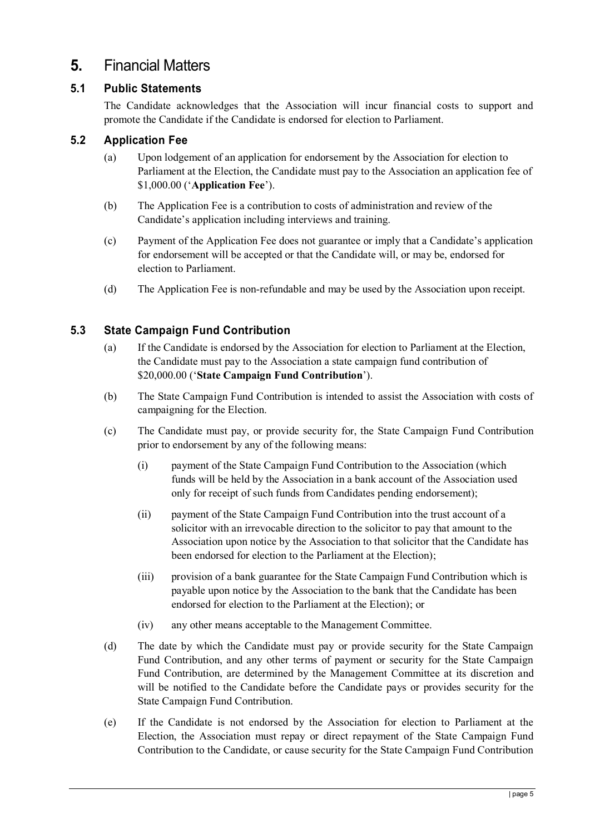#### **5.** Financial Matters

#### **5.1 Public Statements**

The Candidate acknowledges that the Association will incur financial costs to support and promote the Candidate if the Candidate is endorsed for election to Parliament.

#### <span id="page-4-0"></span>**5.2 Application Fee**

- (a) Upon lodgement of an application for endorsement by the Association for election to Parliament at the Election, the Candidate must pay to the Association an application fee of \$1,000.00 ('**Application Fee**').
- (b) The Application Fee is a contribution to costs of administration and review of the Candidate's application including interviews and training.
- (c) Payment of the Application Fee does not guarantee or imply that a Candidate's application for endorsement will be accepted or that the Candidate will, or may be, endorsed for election to Parliament.
- (d) The Application Fee is non-refundable and may be used by the Association upon receipt.

#### <span id="page-4-1"></span>**5.3 State Campaign Fund Contribution**

- (a) If the Candidate is endorsed by the Association for election to Parliament at the Election, the Candidate must pay to the Association a state campaign fund contribution of \$20,000.00 ('**State Campaign Fund Contribution**').
- (b) The State Campaign Fund Contribution is intended to assist the Association with costs of campaigning for the Election.
- (c) The Candidate must pay, or provide security for, the State Campaign Fund Contribution prior to endorsement by any of the following means:
	- (i) payment of the State Campaign Fund Contribution to the Association (which funds will be held by the Association in a bank account of the Association used only for receipt of such funds from Candidates pending endorsement);
	- (ii) payment of the State Campaign Fund Contribution into the trust account of a solicitor with an irrevocable direction to the solicitor to pay that amount to the Association upon notice by the Association to that solicitor that the Candidate has been endorsed for election to the Parliament at the Election);
	- (iii) provision of a bank guarantee for the State Campaign Fund Contribution which is payable upon notice by the Association to the bank that the Candidate has been endorsed for election to the Parliament at the Election); or
	- (iv) any other means acceptable to the Management Committee.
- (d) The date by which the Candidate must pay or provide security for the State Campaign Fund Contribution, and any other terms of payment or security for the State Campaign Fund Contribution, are determined by the Management Committee at its discretion and will be notified to the Candidate before the Candidate pays or provides security for the State Campaign Fund Contribution.
- (e) If the Candidate is not endorsed by the Association for election to Parliament at the Election, the Association must repay or direct repayment of the State Campaign Fund Contribution to the Candidate, or cause security for the State Campaign Fund Contribution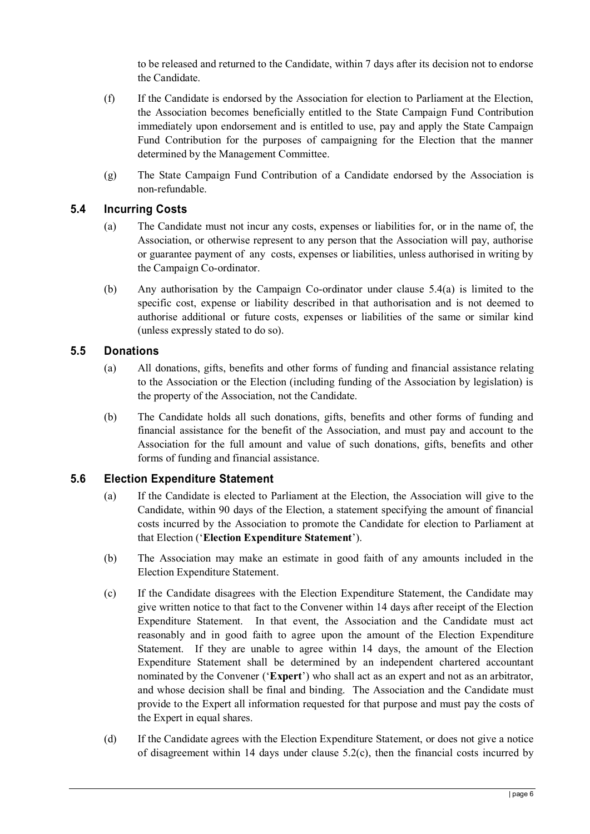to be released and returned to the Candidate, within 7 days after its decision not to endorse the Candidate.

- (f) If the Candidate is endorsed by the Association for election to Parliament at the Election, the Association becomes beneficially entitled to the State Campaign Fund Contribution immediately upon endorsement and is entitled to use, pay and apply the State Campaign Fund Contribution for the purposes of campaigning for the Election that the manner determined by the Management Committee.
- (g) The State Campaign Fund Contribution of a Candidate endorsed by the Association is non-refundable.

#### <span id="page-5-0"></span>**5.4 Incurring Costs**

- (a) The Candidate must not incur any costs, expenses or liabilities for, or in the name of, the Association, or otherwise represent to any person that the Association will pay, authorise or guarantee payment of any costs, expenses or liabilities, unless authorised in writing by the Campaign Co-ordinator.
- (b) Any authorisation by the Campaign Co-ordinator under clause [5.4\(](#page-5-0)a) is limited to the specific cost, expense or liability described in that authorisation and is not deemed to authorise additional or future costs, expenses or liabilities of the same or similar kind (unless expressly stated to do so).

#### **5.5 Donations**

- (a) All donations, gifts, benefits and other forms of funding and financial assistance relating to the Association or the Election (including funding of the Association by legislation) is the property of the Association, not the Candidate.
- (b) The Candidate holds all such donations, gifts, benefits and other forms of funding and financial assistance for the benefit of the Association, and must pay and account to the Association for the full amount and value of such donations, gifts, benefits and other forms of funding and financial assistance.

#### **5.6 Election Expenditure Statement**

- (a) If the Candidate is elected to Parliament at the Election, the Association will give to the Candidate, within 90 days of the Election, a statement specifying the amount of financial costs incurred by the Association to promote the Candidate for election to Parliament at that Election ('**Election Expenditure Statement**').
- (b) The Association may make an estimate in good faith of any amounts included in the Election Expenditure Statement.
- (c) If the Candidate disagrees with the Election Expenditure Statement, the Candidate may give written notice to that fact to the Convener within 14 days after receipt of the Election Expenditure Statement. In that event, the Association and the Candidate must act reasonably and in good faith to agree upon the amount of the Election Expenditure Statement. If they are unable to agree within 14 days, the amount of the Election Expenditure Statement shall be determined by an independent chartered accountant nominated by the Convener ('**Expert**') who shall act as an expert and not as an arbitrator, and whose decision shall be final and binding. The Association and the Candidate must provide to the Expert all information requested for that purpose and must pay the costs of the Expert in equal shares.
- (d) If the Candidate agrees with the Election Expenditure Statement, or does not give a notice of disagreement within 14 days under clause 5.2(c), then the financial costs incurred by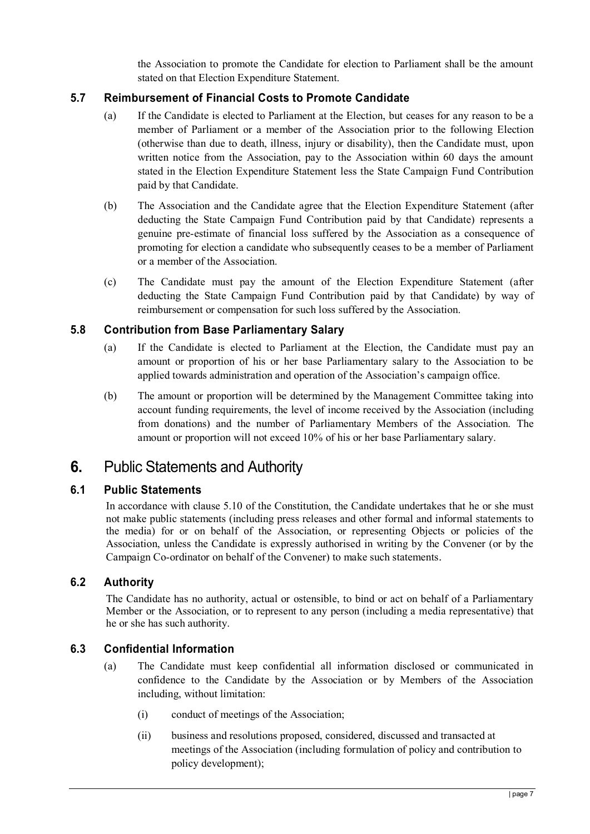the Association to promote the Candidate for election to Parliament shall be the amount stated on that Election Expenditure Statement.

#### **5.7 Reimbursement of Financial Costs to Promote Candidate**

- (a) If the Candidate is elected to Parliament at the Election, but ceases for any reason to be a member of Parliament or a member of the Association prior to the following Election (otherwise than due to death, illness, injury or disability), then the Candidate must, upon written notice from the Association, pay to the Association within 60 days the amount stated in the Election Expenditure Statement less the State Campaign Fund Contribution paid by that Candidate.
- (b) The Association and the Candidate agree that the Election Expenditure Statement (after deducting the State Campaign Fund Contribution paid by that Candidate) represents a genuine pre-estimate of financial loss suffered by the Association as a consequence of promoting for election a candidate who subsequently ceases to be a member of Parliament or a member of the Association.
- (c) The Candidate must pay the amount of the Election Expenditure Statement (after deducting the State Campaign Fund Contribution paid by that Candidate) by way of reimbursement or compensation for such loss suffered by the Association.

#### **5.8 Contribution from Base Parliamentary Salary**

- (a) If the Candidate is elected to Parliament at the Election, the Candidate must pay an amount or proportion of his or her base Parliamentary salary to the Association to be applied towards administration and operation of the Association's campaign office.
- (b) The amount or proportion will be determined by the Management Committee taking into account funding requirements, the level of income received by the Association (including from donations) and the number of Parliamentary Members of the Association. The amount or proportion will not exceed 10% of his or her base Parliamentary salary.

#### **6.** Public Statements and Authority

#### **6.1 Public Statements**

In accordance with clause 5.10 of the Constitution, the Candidate undertakes that he or she must not make public statements (including press releases and other formal and informal statements to the media) for or on behalf of the Association, or representing Objects or policies of the Association, unless the Candidate is expressly authorised in writing by the Convener (or by the Campaign Co-ordinator on behalf of the Convener) to make such statements.

#### **6.2 Authority**

The Candidate has no authority, actual or ostensible, to bind or act on behalf of a Parliamentary Member or the Association, or to represent to any person (including a media representative) that he or she has such authority.

#### **6.3 Confidential Information**

- (a) The Candidate must keep confidential all information disclosed or communicated in confidence to the Candidate by the Association or by Members of the Association including, without limitation:
	- (i) conduct of meetings of the Association;
	- (ii) business and resolutions proposed, considered, discussed and transacted at meetings of the Association (including formulation of policy and contribution to policy development);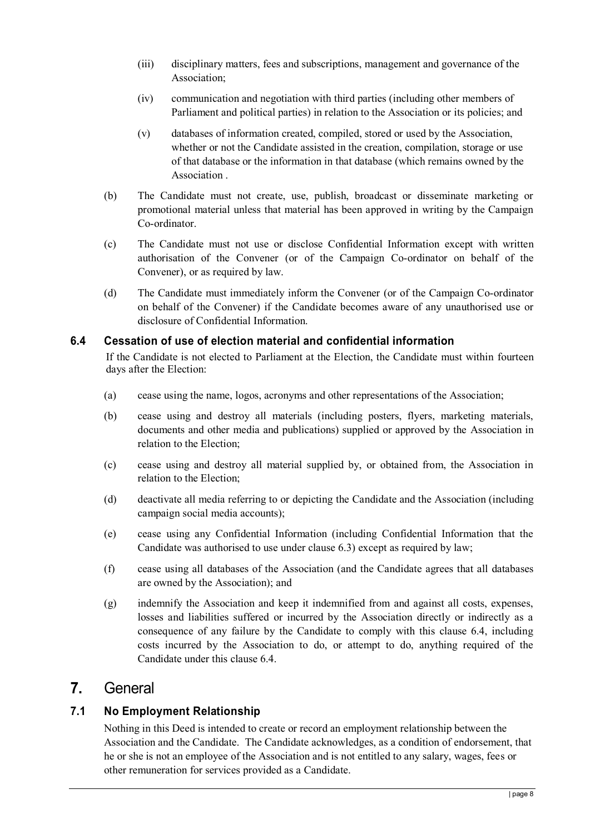- (iii) disciplinary matters, fees and subscriptions, management and governance of the Association;
- (iv) communication and negotiation with third parties (including other members of Parliament and political parties) in relation to the Association or its policies; and
- (v) databases of information created, compiled, stored or used by the Association, whether or not the Candidate assisted in the creation, compilation, storage or use of that database or the information in that database (which remains owned by the Association .
- (b) The Candidate must not create, use, publish, broadcast or disseminate marketing or promotional material unless that material has been approved in writing by the Campaign Co-ordinator.
- (c) The Candidate must not use or disclose Confidential Information except with written authorisation of the Convener (or of the Campaign Co-ordinator on behalf of the Convener), or as required by law.
- (d) The Candidate must immediately inform the Convener (or of the Campaign Co-ordinator on behalf of the Convener) if the Candidate becomes aware of any unauthorised use or disclosure of Confidential Information.

#### **6.4 Cessation of use of election material and confidential information**

If the Candidate is not elected to Parliament at the Election, the Candidate must within fourteen days after the Election:

- (a) cease using the name, logos, acronyms and other representations of the Association;
- (b) cease using and destroy all materials (including posters, flyers, marketing materials, documents and other media and publications) supplied or approved by the Association in relation to the Election;
- (c) cease using and destroy all material supplied by, or obtained from, the Association in relation to the Election;
- (d) deactivate all media referring to or depicting the Candidate and the Association (including campaign social media accounts);
- (e) cease using any Confidential Information (including Confidential Information that the Candidate was authorised to use under clause 6.3) except as required by law;
- (f) cease using all databases of the Association (and the Candidate agrees that all databases are owned by the Association); and
- (g) indemnify the Association and keep it indemnified from and against all costs, expenses, losses and liabilities suffered or incurred by the Association directly or indirectly as a consequence of any failure by the Candidate to comply with this clause 6.4, including costs incurred by the Association to do, or attempt to do, anything required of the Candidate under this clause 6.4.

#### **7.** General

#### **7.1 No Employment Relationship**

Nothing in this Deed is intended to create or record an employment relationship between the Association and the Candidate. The Candidate acknowledges, as a condition of endorsement, that he or she is not an employee of the Association and is not entitled to any salary, wages, fees or other remuneration for services provided as a Candidate.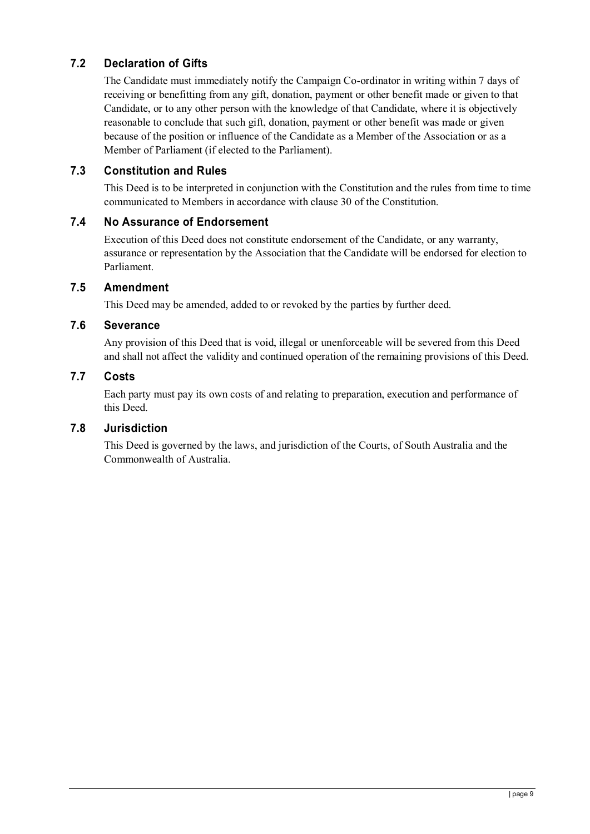#### **7.2 Declaration of Gifts**

The Candidate must immediately notify the Campaign Co-ordinator in writing within 7 days of receiving or benefitting from any gift, donation, payment or other benefit made or given to that Candidate, or to any other person with the knowledge of that Candidate, where it is objectively reasonable to conclude that such gift, donation, payment or other benefit was made or given because of the position or influence of the Candidate as a Member of the Association or as a Member of Parliament (if elected to the Parliament).

#### **7.3 Constitution and Rules**

This Deed is to be interpreted in conjunction with the Constitution and the rules from time to time communicated to Members in accordance with clause 30 of the Constitution.

#### **7.4 No Assurance of Endorsement**

Execution of this Deed does not constitute endorsement of the Candidate, or any warranty, assurance or representation by the Association that the Candidate will be endorsed for election to Parliament.

#### **7.5 Amendment**

This Deed may be amended, added to or revoked by the parties by further deed.

#### **7.6 Severance**

Any provision of this Deed that is void, illegal or unenforceable will be severed from this Deed and shall not affect the validity and continued operation of the remaining provisions of this Deed.

#### **7.7 Costs**

Each party must pay its own costs of and relating to preparation, execution and performance of this Deed.

#### **7.8 Jurisdiction**

This Deed is governed by the laws, and jurisdiction of the Courts, of South Australia and the Commonwealth of Australia.